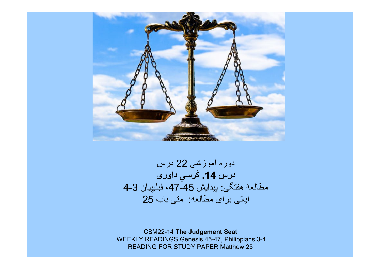

# دوره آموزشی 22 درس درس **14.** کُرس*یِ د*اور*ی* مطالعۀ هفتگی: پيدايش 45-47، فيليپيان 3-4 آياتی برای مطالعه: متی باب 25

CBM22-14 The Judgement Seat WEEKLY READINGS Genesis 45-47, Philippians 3-4 READING FOR STUDY PAPER Matthew 25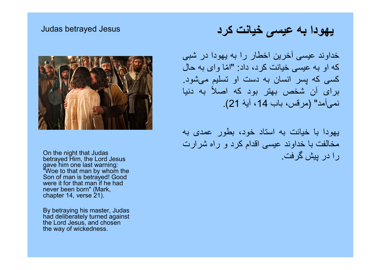#### Judas betrayed Jesus



On the night that Judas betrayed Him, the Lord Jesus gave him one last warning: "Woe to that man by whom the Son of man is betrayed! Good were it for that man if he had never been born" (Mark, chapter 14, verse 21).

By betraying his master, Judas had deliberately turned against the Lord Jesus, and chosen the way of wickedness.

# يهودا به عيسی خيانت کرد

خداوند عيسی آخرين اخطار را به يهودا در شبی که او به عيسی خيانت کرد، داد: "ا ّما وای به حال کسی که پسر انسان به دست او تسليم می شود. برای آن شخص بهتر بود كه اصلاً به دنیا نمی آمد" (مرقس، باب ،14 آيۀ 21).

يهودا با خيانت به استاد خود، بطور عمدی به مخالفت با خداوند عيسی اقدام کرد و راه شرارت را در پيش گرفت.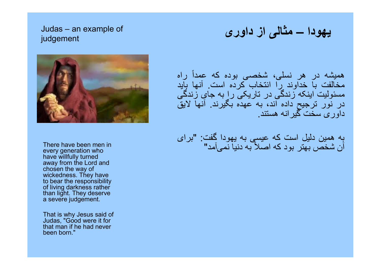### Judas – an example of judgement



There have been men in every generation who have willfully turned away from the Lord and chosen the way of wickedness. They have to bear the responsibility of living darkness rather than light. They deserve a severe judgement.

That is why Jesus said of Judas, "Good were it for that man if he had never been born."

يهودا – مثالی از داوری

هميشه در هر نسلی، شخصی بوده که عمداً راه مخالفت با خداوند را انتخاب کرده است. آنها بايد مسئوليت اينکه زندگی در تاريکی را به جای زندگی در نور ترجيح داده اند، به عهده بگيرند. آنها لايق داوری سخت گيرانه هستند.

به همين دليل است که عيسی به يهودا گفت: "برای آن شخص بهتر بود كه اصلاً به دنيا نمیآمد"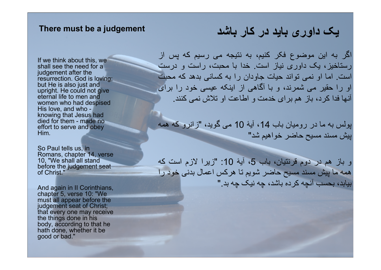#### There must be a judgement

If we think about this, we shall see the need for a judgement after the resurrection. God is loving; but He is also just and upright. He could not give eternal life to men and women who had despised His love, and who knowing that Jesus had died for them - made no effort to serve and obey Him.

So Paul tells us, in Romans, chapter 14, verse 10. "We shall all stand before the judgement seat of Christ."

And again in II Corinthians, chapter 5, verse 10: "We must all appear before the judgement seat of Christ; that every one may receive the things done in his body, according to that he hath done, whether it be good or bad."

# يک داوری بايد در کار باشد

اگر به اين موضوع فکر کنيم، به نتيجه می رسيم که پس از رستاخيز، يک داوری نياز است. خدا با محبت، راست و درست است. اما او نمی تواند حيات جاودان را به کسانی بدهد که محبت او را حقير می شمرند، و با آگاهی از اينکه عيسی خود را برای آنها فدا کرد، باز هم برای خدمت و اطاعت او تلاش نمی کنند.

پولس به ما در روميان باب ،14 آيۀ 10 می گويد، "زانرو که همه پيش مسند مسيح حاضر خواهيم شد"

و باز هم در دوم قرنتيان، باب 5، آيۀ 10: "زيرا لازم است كه همه ما پيش مسند مسيح حاضر شويم تا هرکس اعمال بدنی خود را بيابد، بحسب آنچه کرده باشد، چه نيک چه بد."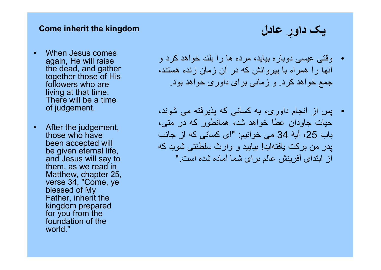#### Come inherit the kingdom

- When Jesus comes again, He will raise the dead, and gather together those of His followers who are living at that time. There will be a time of judgement.
- After the judgement, those who have been accepted will be given eternal life, and Jesus will say to them, as we read in Matthew, chapter 25, verse 34, "Come, ye blessed of My Father, inherit the kingdom prepared for you from the foundation of the world."

• وقتی عيسی دوباره بيايد، مرده ها را بلند خواهد کرد و آنها را همراه با پيروانش که در آن زمان زنده هستند، جمع خواهد کرد. و زمانی برای داوری خواهد بود.

يک داوِر عادل

• پس از انجام داوری، به کسانی که پذيرفته می شوند، حيات جاودان عطا خواهد شد، همانطور که در متی، باب ،25 آيۀ 34 می خوانيم: "ای کسانی که از جانب پدر من بركت يافته ايد! بياييد و وارث سلطنتی شويد كه از ابتدای آفرينش عالم برای شما آماده شده است."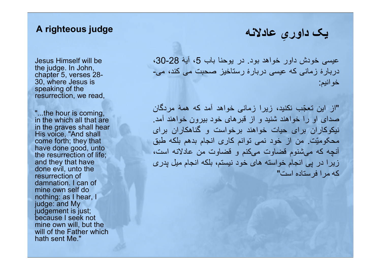## A righteous judge

Jesus Himself will be the judge. In John, chapter 5, verses 28- 30, where Jesus is speaking of the resurrection, we read,

"...the hour is coming, in the which all that are in the graves shall hear His voice, "And shall come forth; they that have done good, unto the resurrection of life; and they that have done evil, unto the resurrection of damnation. I can of mine own self do nothing: as I hear, I judge: and My judgement is just; because I seek not mine own will, but the will of the Father which hath sent Me."

عيسی خودش داور خواهد بود. در يوحنا باب 5، آيۀ 28-30، دربارۀ زمانی که عيسی دربارۀ رستاخيز صحبت می کند، می- خوانيم:

يک داور ِی عادلانه

"از اين تع ّجب نكنيد، زيرا زمانی خواهد آمد كه همۀ مردگان صدای او را خواهند شنيد و از قبرهای خود بيرون خواهند آمد. نيكوكاران برای حيات خواهند برخواست و گناهكاران برای محکوميّت. من از خود نمی توانم کاری انجام بدهم بلكه طبق آنچه كه می شنوم قضاوت می کنم و قضاوت من عادلانه است، زيرا در پی انجام خواسته های خود نيستم، بلكه انجام ميل پدری كه مرا فرستاده است"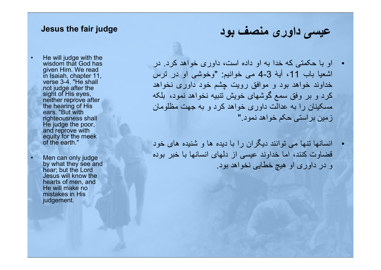#### Jesus the fair judge

- He will judge with the wisdom that God has given Him. We read in Isaiah, chapter 11, verse 3-4. "He shall not judge after the sight of His eyes, neither reprove after the hearing of His ears. "But with righteousness shall He judge the poor, and reprove with equity for the meek of the earth."
- Men can only judge by what they see and hear; but the Lord Jesus will know the hearts of men, and He will make no mistakes in His judgement.

# عيسی داوری منصف بود

- او با حکمتی که خدا به او داده است، داوری خواهد کرد. در اشعيا باب 11، آيۀ 3-4 می خوانيم: "وخوشی او در ترس خداوند خواهد بود و موافق رويت چشم خود داوری نخواهد کرد و بر وفق سمع گوشهای خويش تنبيه نخواهد نمود، بلکه مسکينان را به عدالت داوری خواهد کرد و به جهت مظلومان زمين براستی حکم خواهد نمود."
- انسانها تنها می توانند ديگران را با ديده ها و شنيده های خود قضاوت کنند، اما خداوند عيسی از دلهای انسانها با خبر بوده و در داوری او هيچ خطايی نخواهد بود.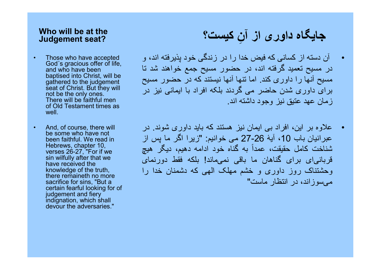### Who will be at the Judgement seat?

- Those who have accepted God´s gracious offer of life, and who have been baptised into Christ, will be gathered to the judgement seat of Christ. But they will not be the only ones. There will be faithful men of Old Testament times as well.
- And, of course, there will be some who have not been faithful. We read in Hebrews, chapter 10, verses 26-27, "For if we sin wilfully after that we have received the knowledge of the truth, there remaineth no more sacrifice for sins, "But a certain fearful looking for of judgement and fiery indignation, which shall devour the adversaries."

# جایگاه داور ی از آنِ کیست؟

- آن دسته از کسانی که فيض خدا را در زندگی خود پذيرفته اند، و در مسيح تعميد گرفته اند، در حضور مسيح جمع خواهند شد تا مسيح آنها را داوری کند. اما تنها آنها نيستند که در حضور مسيح برای داوری شدن حاضر می گردند بلکه افراد با ايمانی نيز در زمان عهد عتيق نيز وجود داشته اند.
- علاوه بر اين، افراد بی ايمان نيز هستند که بايد داوری شوند. در عبرانيان باب 10، آيۀ 26-27 می خوانيم: "زيرا اگر ما پس از شناخت كامل حقيقت، عمداً به گناه خود ادامه دهيم، ديگر هيچ قربانی ای برای گناهان ما باقی نمی ماند! بلكه فقط دورنمای وحشتناک روز داوری و خشم مهلک الهی كه دشمنان خدا را می سوزاند، در انتظار ماست"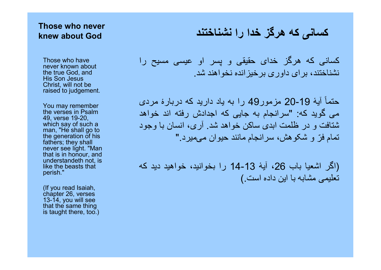### Those who never knew about God

Those who have never known about the true God, and His Son Jesus Christ, will not be raised to judgement.

You may remember the verses in Psalm 49, verse 19-20, which say of such a man, "He shall go to the generation of his fathers; they shall never see light. "Man that is in honour, and understandeth not, is like the beasts that perish."

(If you read Isaiah, chapter 26, verses 13-14, you will see that the same thing is taught there, too.)

کسانی که هرگز خدا را نشناختند

کسانی که هرگز خدای حقيقی و پسر او عيسی مسيح را نشناختند، برای داوری برخيزانده نخواهند شد.

آيۀ حتما 20-19 مزمور49 را به ياد داريد که دربارۀ مردی ً می گويد که: "سرانجام به جايی که اجدادش رفته اند خواهد شتافت و در ظلمت ابدی ساکن خواهد شد. آری، انسان با وجود تمام فرّ و شکوهش، سرانجام مانند حيوان میميرد."

(اگر اشعيا باب ،26 آيۀ 14-13 را بخوانيد، خواهيد ديد که تعليمی مشابه با اين داده است.)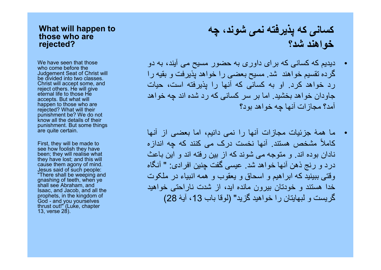#### What will happen to those who are rejected?

We have seen that those who come before the Judgement Seat of Christ will be divided into two classes. Christ will accept some, and reject others. He will give eternal life to those He accepts. But what will happen to those who are rejected? What will their punishment be? We do not know all the details of their punishment. But some things are quite certain.

First, they will be made to see how foolish they have been; they will realise what they have lost; and this will cause them agony of mind. Jesus said of such people: "There shall be weeping and gnashing of teeth, when ye shall see Abraham, and Isaac, and Jacob, and all the prophets, in the kingdom of God - and you yourselves thrust out!" (Luke, chapter 13, verse 28).

# کسانی که پذيرفته نمی شوند، چه خواهند شد؟

- ديديم که کسانی که برای داوری به حضور مسيح می آيند، به دو گرده تقسيم خواهند شد. مسيح بعضی را خواهد پذيرفت و بقيه را رد خواهد کرد. او به کسانی که آنها را پذيرفته است، حيات جاودان خواهد بخشيد. اما بر سر کسانی که رد شده اند چه خواهد آمد؟ مجازات آنها چه خواهد بود؟
- ما همۀ جزئيات مجازات آنها را نمی دانيم، اما بعضی از آنها کاملاً مشخص هستند. آنها نخست درک می کنند که چه اندازه نادان بوده اند. و متوجه می شوند که از بين رفته اند و اين باعث درد و رنج ذهن آنها خواهد شد. عيسی گفت چنين افرادی: " آنگاه وقتی ببينيد که ابراهيم و اسحاق و يعقوب و همه انبياء در ملکوت خدا هستند و خودتان بيرون مانده ايد، از شدت ناراحتی خواهيد گريست و لبهايتان را خواهيد گزيد" (لوقا باب 13، آيۀ 28)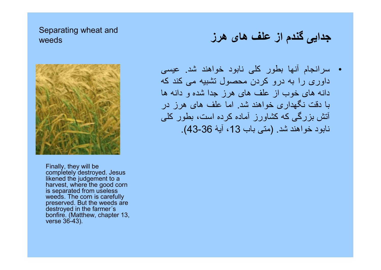### Separating wheat and weeds



Finally, they will be completely destroyed. Jesus likened the judgement to a harvest, where the good corn is separated from useless weeds. The corn is carefully preserved. But the weeds are destroyed in the farmer´s bonfire. (Matthew, chapter 13, verse 36-43).

# جدايی گندم از علف های هرز

• سرانجام آنها بطور کلی نابود خواهند شد. عيسی داوری را به درو کردن محصول تشبيه می کند که دانه های خوب از علف های هرز جدا شده و دانه ها با دقت نگهداری خواهند شد. اما علف های هرز در آتش بزرگی که کشاورز آماده کرده است، بطور کلی نابود خواهند شد. (متی باب ،13 آيۀ 43-36).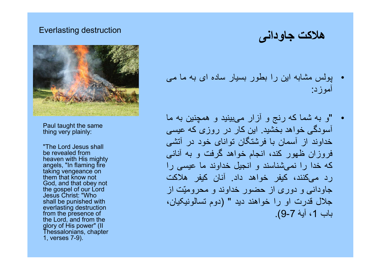### Everlasting destruction



Paul taught the same thing very plainly:

"The Lord Jesus shall be revealed from heaven with His mighty angels, "In flaming fire taking vengeance on them that know not God, and that obey not the gospel of our Lord Jesus Christ: "Who shall be punished with everlasting destruction from the presence of the Lord, and from the glory of His power" (II Thessalonians, chapter 1, verses 7-9).

هلاکت جاودانی

- پولس مشابه اين را بطور بسيار ساده ای به ما می آموزد:
- "و به شما كه رنج و آزار می بينيد و همچنين به ما آسودگی خواهد بخشيد. اين كار در روزی كه عيسی خداوند از آسمان با فرشتگان توانای خود در آتشی فروزان ظهور كند، انجام خواهد گرفت و به آنانی كه خدا را نمی شناسند و انجيل خداوند ما عيسی را رد می کنند، كيفر خواهد داد. آنان كيفر هلاكت جاودانی و دوری از حضور خداوند و محروميّت از جلال قدرت او را خواهند ديد " (دوم تسالونيکيان، باب 1، آيۀ 7-9).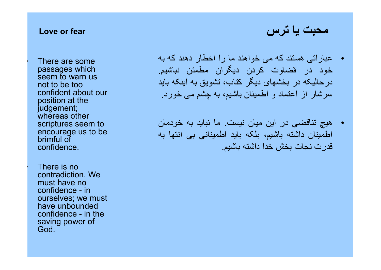### Love or fear

There are some passages which seem to warn us not to be too confident about our position at the judgement; whereas other scriptures seem to encourage us to be brimful of confidence.

• There is no contradiction. We must have no confidence - in ourselves; we must have unbounded confidence - in the saving power of God.

• عباراتی هستند که می خواهند ما را اخطار دهند که به خود در قضاوت کردن ديگران مطمئن نباشيم. درحاليکه در بخشهای ديگر کتاب، تشويق به اينکه بايد سرشار از اعتماد و اطمينان باشيم، به چشم می خورد.

• هيچ تناقضی در اين ميان نيست. ما نبايد به خودمان اطمينان داشته باشيم، بلکه بايد اطمينانی بی انتها به قدرت نجات بخش خدا داشته باشيم.

محبت يا ترس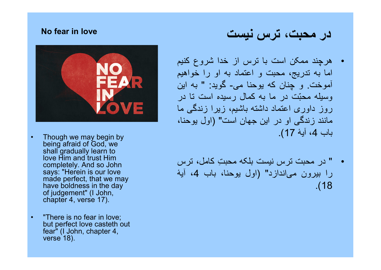### No fear in love



- Though we may begin by being afraid of God, we shall gradually learn to love Him and trust Him completely. And so John says: "Herein is our love made perfect, that we may have boldness in the day of judgement" (I John, chapter 4, verse 17).
- "There is no fear in love; but perfect love casteth out fear" (I John, chapter 4, verse 18).

# در محبت، ترس نيست

- هرچند ممکن است با ترس از خدا شروع کنيم اما به تدريج، محبت و اعتماد به او را خواهيم آموخت. و چنان که يوحنا می- گويد: " به اين وسيله محبّت در ما به كمال رسيده است تا در روز داوری اعتماد داشته باشيم، زيرا زندگی ما مانند زندگی او در اين جهان است" (اول يوحنا، باب 4، آيۀ 17).
- " در محبت ترس نيست بلکه محب ِت کامل، ترس را بيرون می اندازد" (اول يوحنا، باب ،4 آيۀ .(18